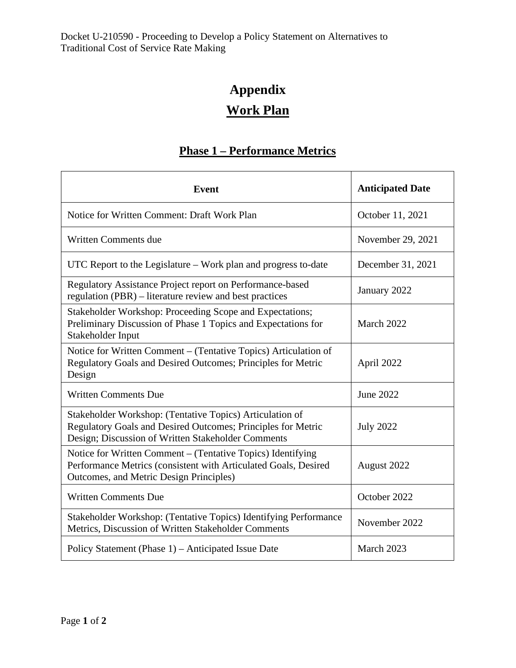## **Appendix Work Plan**

## **Phase 1 – Performance Metrics**

| Event                                                                                                                                                                          | <b>Anticipated Date</b> |
|--------------------------------------------------------------------------------------------------------------------------------------------------------------------------------|-------------------------|
| Notice for Written Comment: Draft Work Plan                                                                                                                                    | October 11, 2021        |
| <b>Written Comments due</b>                                                                                                                                                    | November 29, 2021       |
| UTC Report to the Legislature - Work plan and progress to-date                                                                                                                 | December 31, 2021       |
| Regulatory Assistance Project report on Performance-based<br>regulation (PBR) – literature review and best practices                                                           | January 2022            |
| Stakeholder Workshop: Proceeding Scope and Expectations;<br>Preliminary Discussion of Phase 1 Topics and Expectations for<br>Stakeholder Input                                 | March 2022              |
| Notice for Written Comment – (Tentative Topics) Articulation of<br>Regulatory Goals and Desired Outcomes; Principles for Metric<br>Design                                      | April 2022              |
| <b>Written Comments Due</b>                                                                                                                                                    | <b>June 2022</b>        |
| Stakeholder Workshop: (Tentative Topics) Articulation of<br>Regulatory Goals and Desired Outcomes; Principles for Metric<br>Design; Discussion of Written Stakeholder Comments | <b>July 2022</b>        |
| Notice for Written Comment – (Tentative Topics) Identifying<br>Performance Metrics (consistent with Articulated Goals, Desired<br>Outcomes, and Metric Design Principles)      | August 2022             |
| <b>Written Comments Due</b>                                                                                                                                                    | October 2022            |
| Stakeholder Workshop: (Tentative Topics) Identifying Performance<br>Metrics, Discussion of Written Stakeholder Comments                                                        | November 2022           |
| Policy Statement (Phase 1) – Anticipated Issue Date                                                                                                                            | March 2023              |